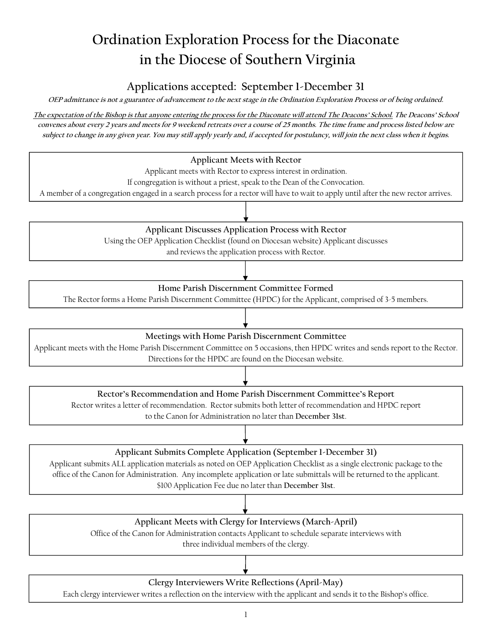## **Ordination Exploration Process for the Diaconate in the Diocese of Southern Virginia**

## **Applications accepted: September 1-December 31**

**OEP admittance is not a guarantee of advancement to the next stage in the Ordination Exploration Process or of being ordained.** 

**The expectation of the Bishop is that anyone entering the process for the Diaconate will attend The Deacons' School. The Deacons' School convenes about every 2 years and meets for 9 weekend retreats over a course of 25 months. The time frame and process listed below are subject to change in any given year. You may still apply yearly and, if accepted for postulancy, will join the next class when it begins.** 



Each clergy interviewer writes a reflection on the interview with the applicant and sends it to the Bishop's office.